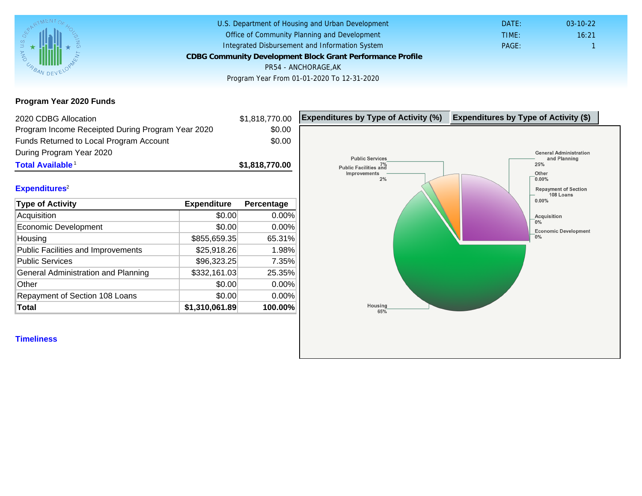Program Year 2020 Funds

| 2020 CDBG Allocation                              |                | \$1,818,770.00 | Expenditures by Type of Activity (%) | Expenditure |
|---------------------------------------------------|----------------|----------------|--------------------------------------|-------------|
| Program Income Receipted During Program Year 2020 |                | \$0.00         |                                      |             |
| Funds Returned to Local Program Account           |                | \$0.00         |                                      |             |
| During Program Year 2020                          |                |                |                                      |             |
| Total Available <sup>1</sup>                      |                | \$1,818,770.00 |                                      |             |
| Expenditures <sup>2</sup>                         |                |                |                                      |             |
| Type of Activity                                  | Expenditure    | Percentage     |                                      |             |
| Acquisition                                       | \$0.00         | 0.00%          |                                      |             |
| <b>Economic Development</b>                       | \$0.00         | 0.00%          |                                      |             |
| Housing                                           | \$855,659.35   | 65.31%         |                                      |             |
| Public Facilities and Improvements                | \$25,918.26    | 1.98%          |                                      |             |
| <b>Public Services</b>                            | \$96,323.25    | 7.35%          |                                      |             |
| General Administration and Planning               | \$332,161.03   | 25.35%         |                                      |             |
| Other                                             | \$0.00         | 0.00%          |                                      |             |
| Repayment of Section 108 Loans                    | \$0.00         | 0.00%          |                                      |             |
| Total                                             | \$1,310,061.89 | 100.00%        |                                      |             |
| <b>Timeliness</b>                                 |                |                |                                      |             |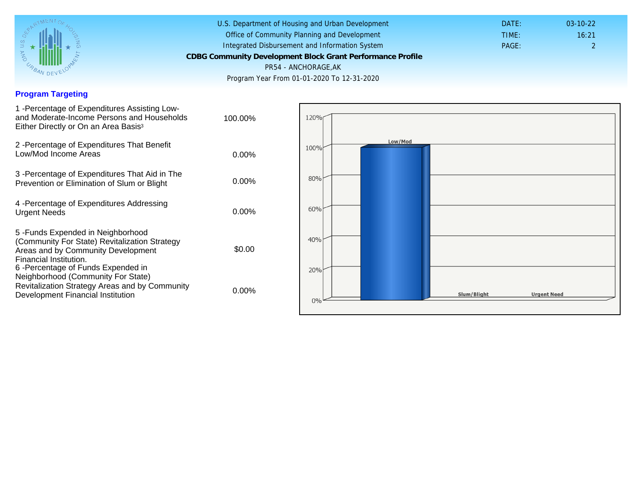## Program Targeting

| 1 - Percentage of Expenditures Assisting Low-<br>and Moderate-Income Persons and Households<br>Either Directly or On an Area Basis <sup>3</sup>                                                                              | 100.00%  |
|------------------------------------------------------------------------------------------------------------------------------------------------------------------------------------------------------------------------------|----------|
| 2 - Percentage of Expenditures That Benefit<br>Low/Mod Income Areas                                                                                                                                                          | $0.00\%$ |
| 3 - Percentage of Expenditures That Aid in The<br>Prevention or Elimination of Slum or Blight                                                                                                                                | $0.00\%$ |
| 4 - Percentage of Expenditures Addressing<br><b>Urgent Needs</b>                                                                                                                                                             | $0.00\%$ |
| 5-Funds Expended in Neighborhood<br>(Community For State) Revitalization Strategy<br>Areas and by Community Development<br>Financial Institution.<br>6-Percentage of Funds Expended in<br>Neighborhood (Community For State) | \$0.00   |
| Revitalization Strategy Areas and by Community<br>Development Financial Institution                                                                                                                                          | $0.00\%$ |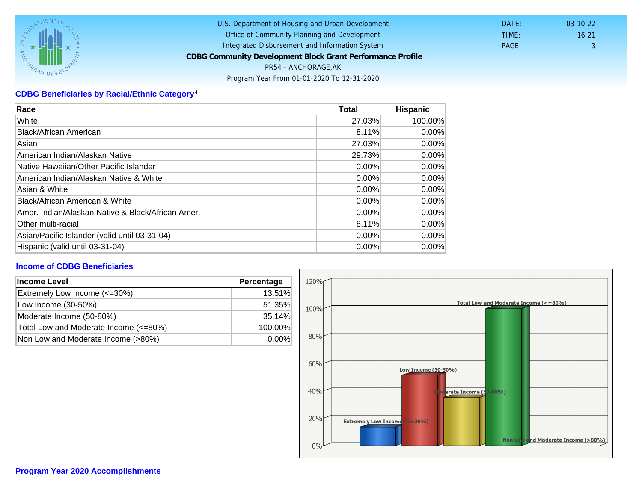## CDBG Beneficiaries by Racial/Ethnic Category <sup>4</sup>

| Race                                              | Total    | Hispanic |
|---------------------------------------------------|----------|----------|
| White                                             | 27.03%   | 100.00%  |
| Black/African American                            | 8.11%    | $0.00\%$ |
| Asian                                             | 27.03%   | $0.00\%$ |
| IAmerican Indian/Alaskan Native                   | 29.73%   | $0.00\%$ |
| lNative Hawaiian/Other Pacific Islander           | $0.00\%$ | $0.00\%$ |
| American Indian/Alaskan Native & White            | 0.00%    | $0.00\%$ |
| Asian & White                                     | 0.00%    | 0.00%    |
| Black/African American & White                    | 0.00%    | $0.00\%$ |
| Amer. Indian/Alaskan Native & Black/African Amer. | $0.00\%$ | $0.00\%$ |
| <b>Other multi-racial</b>                         | 8.11%    | 0.00%    |
| Asian/Pacific Islander (valid until 03-31-04)     | 0.00%    | 0.00%    |
| Hispanic (valid until 03-31-04)                   | 0.00%    | 0.00%    |

## Income of CDBG Beneficiaries

| Income Level                          | Percentage |  |
|---------------------------------------|------------|--|
| Extremely Low Income (<=30%)          | 13.51%     |  |
| Low Income (30-50%)                   | 51.35%     |  |
| Moderate Income (50-80%)              | 35.14%     |  |
| Total Low and Moderate Income (<=80%) | 100.00%    |  |
| Non Low and Moderate Income (>80%)    | $0.00\%$   |  |